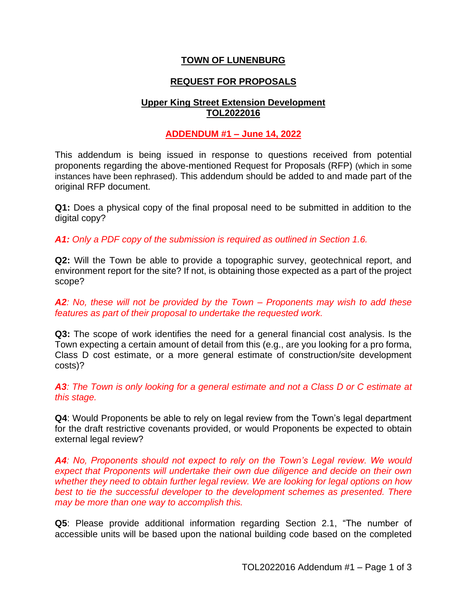# **TOWN OF LUNENBURG**

# **REQUEST FOR PROPOSALS**

# **Upper King Street Extension Development TOL2022016**

# **ADDENDUM #1 – June 14, 2022**

This addendum is being issued in response to questions received from potential proponents regarding the above-mentioned Request for Proposals (RFP) (which in some instances have been rephrased). This addendum should be added to and made part of the original RFP document.

**Q1:** Does a physical copy of the final proposal need to be submitted in addition to the digital copy?

*A1: Only a PDF copy of the submission is required as outlined in Section 1.6.*

**Q2:** Will the Town be able to provide a topographic survey, geotechnical report, and environment report for the site? If not, is obtaining those expected as a part of the project scope?

*A2: No, these will not be provided by the Town – Proponents may wish to add these features as part of their proposal to undertake the requested work.*

**Q3:** The scope of work identifies the need for a general financial cost analysis. Is the Town expecting a certain amount of detail from this (e.g., are you looking for a pro forma, Class D cost estimate, or a more general estimate of construction/site development costs)?

*A3: The Town is only looking for a general estimate and not a Class D or C estimate at this stage.*

**Q4**: Would Proponents be able to rely on legal review from the Town's legal department for the draft restrictive covenants provided, or would Proponents be expected to obtain external legal review?

**A4***:* No, Proponents should not expect to rely on the Town's Legal review. We would *expect that Proponents will undertake their own due diligence and decide on their own whether they need to obtain further legal review. We are looking for legal options on how*  best to tie the successful developer to the development schemes as presented. There *may be more than one way to accomplish this.*

**Q5**: Please provide additional information regarding Section 2.1, "The number of accessible units will be based upon the national building code based on the completed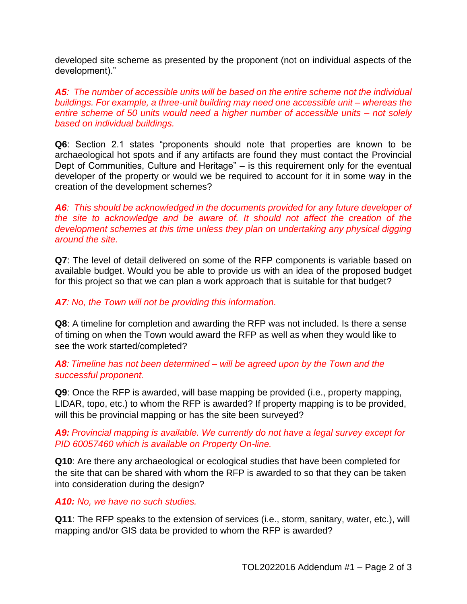developed site scheme as presented by the proponent (not on individual aspects of the development)."

*A5: The number of accessible units will be based on the entire scheme not the individual buildings. For example, a three-unit building may need one accessible unit – whereas the entire scheme of 50 units would need a higher number of accessible units – not solely based on individual buildings.* 

**Q6**: Section 2.1 states "proponents should note that properties are known to be archaeological hot spots and if any artifacts are found they must contact the Provincial Dept of Communities, Culture and Heritage" – is this requirement only for the eventual developer of the property or would we be required to account for it in some way in the creation of the development schemes?

*A6: This should be acknowledged in the documents provided for any future developer of the site to acknowledge and be aware of. It should not affect the creation of the development schemes at this time unless they plan on undertaking any physical digging around the site.*

**Q7**: The level of detail delivered on some of the RFP components is variable based on available budget. Would you be able to provide us with an idea of the proposed budget for this project so that we can plan a work approach that is suitable for that budget?

### *A7: No, the Town will not be providing this information.*

**Q8**: A timeline for completion and awarding the RFP was not included. Is there a sense of timing on when the Town would award the RFP as well as when they would like to see the work started/completed?

# *A8: Timeline has not been determined – will be agreed upon by the Town and the successful proponent.*

**Q9**: Once the RFP is awarded, will base mapping be provided (i.e., property mapping, LIDAR, topo, etc.) to whom the RFP is awarded? If property mapping is to be provided, will this be provincial mapping or has the site been surveyed?

# *A9: Provincial mapping is available. We currently do not have a legal survey except for PID 60057460 which is available on Property On-line.*

**Q10**: Are there any archaeological or ecological studies that have been completed for the site that can be shared with whom the RFP is awarded to so that they can be taken into consideration during the design?

#### *A10: No, we have no such studies.*

**Q11**: The RFP speaks to the extension of services (i.e., storm, sanitary, water, etc.), will mapping and/or GIS data be provided to whom the RFP is awarded?